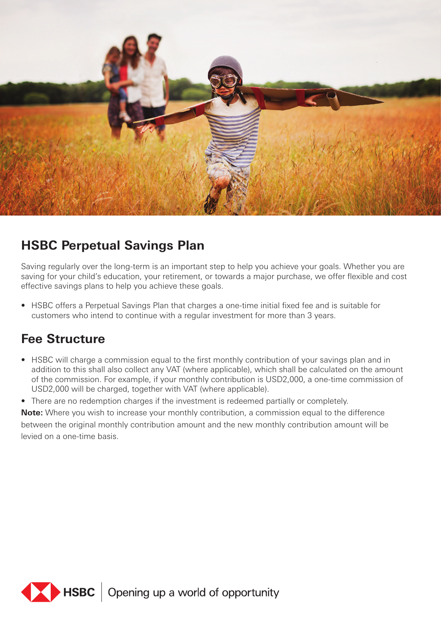

### **HSBC Perpetual Savings Plan**

Saving regularly over the long-term is an important step to help you achieve your goals. Whether you are saving for your child's education, your retirement, or towards a major purchase, we offer flexible and cost effective savings plans to help you achieve these goals.

• HSBC offers a Perpetual Savings Plan that charges a one-time initial fixed fee and is suitable for customers who intend to continue with a regular investment for more than 3 years.

### **Fee Structure**

• HSBC will charge a commission equal to the first monthly contribution of your savings plan and in addition to this shall also collect any VAT (where applicable), which shall be calculated on the amount of the commission. For example, if your monthly contribution is USD2,000, a one-time commission of USD2,000 will be charged, together with VAT (where applicable).

• There are no redemption charges if the investment is redeemed partially or completely.

**Note:** Where you wish to increase your monthly contribution, a commission equal to the difference between the original monthly contribution amount and the new monthly contribution amount will be levied on a one-time basis.

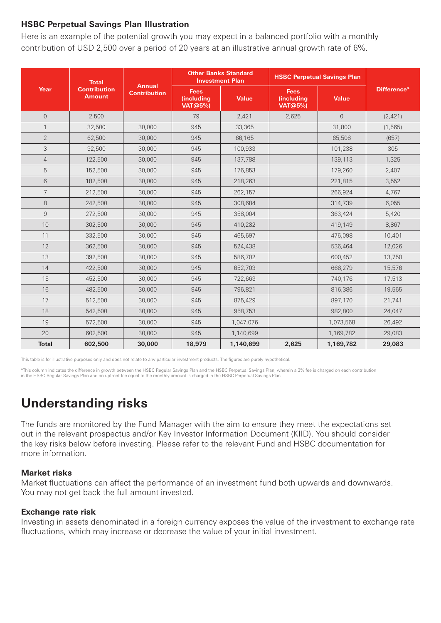#### **HSBC Perpetual Savings Plan Illustration**

Here is an example of the potential growth you may expect in a balanced portfolio with a monthly contribution of USD 2,500 over a period of 20 years at an illustrative annual growth rate of 6%.

| Year           | <b>Total</b><br><b>Contribution</b><br><b>Amount</b> | <b>Annual</b><br><b>Contribution</b> | <b>Other Banks Standard</b><br><b>Investment Plan</b> |              | <b>HSBC Perpetual Savings Plan</b>          |                |             |
|----------------|------------------------------------------------------|--------------------------------------|-------------------------------------------------------|--------------|---------------------------------------------|----------------|-------------|
|                |                                                      |                                      | <b>Fees</b><br>(including<br><b>VAT@5%)</b>           | <b>Value</b> | <b>Fees</b><br>(including<br><b>VAT@5%)</b> | <b>Value</b>   | Difference* |
| $\overline{0}$ | 2,500                                                |                                      | 79                                                    | 2,421        | 2,625                                       | $\overline{0}$ | (2, 421)    |
| $\mathbf{1}$   | 32,500                                               | 30,000                               | 945                                                   | 33,365       |                                             | 31,800         | (1, 565)    |
| $\overline{2}$ | 62,500                                               | 30,000                               | 945                                                   | 66,165       |                                             | 65,508         | (657)       |
| 3              | 92,500                                               | 30,000                               | 945                                                   | 100,933      |                                             | 101,238        | 305         |
| $\overline{4}$ | 122,500                                              | 30,000                               | 945                                                   | 137,788      |                                             | 139,113        | 1,325       |
| 5              | 152,500                                              | 30,000                               | 945                                                   | 176,853      |                                             | 179,260        | 2,407       |
| 6              | 182,500                                              | 30,000                               | 945                                                   | 218,263      |                                             | 221,815        | 3,552       |
| $\overline{7}$ | 212,500                                              | 30,000                               | 945                                                   | 262,157      |                                             | 266,924        | 4,767       |
| 8              | 242,500                                              | 30,000                               | 945                                                   | 308,684      |                                             | 314,739        | 6,055       |
| 9              | 272,500                                              | 30,000                               | 945                                                   | 358,004      |                                             | 363,424        | 5,420       |
| 10             | 302,500                                              | 30,000                               | 945                                                   | 410,282      |                                             | 419,149        | 8,867       |
| 11             | 332,500                                              | 30,000                               | 945                                                   | 465,697      |                                             | 476,098        | 10,401      |
| 12             | 362,500                                              | 30,000                               | 945                                                   | 524,438      |                                             | 536,464        | 12,026      |
| 13             | 392,500                                              | 30,000                               | 945                                                   | 586,702      |                                             | 600,452        | 13,750      |
| 14             | 422,500                                              | 30,000                               | 945                                                   | 652,703      |                                             | 668,279        | 15,576      |
| 15             | 452,500                                              | 30,000                               | 945                                                   | 722,663      |                                             | 740,176        | 17,513      |
| 16             | 482,500                                              | 30,000                               | 945                                                   | 796,821      |                                             | 816,386        | 19,565      |
| 17             | 512,500                                              | 30,000                               | 945                                                   | 875,429      |                                             | 897,170        | 21,741      |
| 18             | 542,500                                              | 30,000                               | 945                                                   | 958,753      |                                             | 982,800        | 24,047      |
| 19             | 572,500                                              | 30,000                               | 945                                                   | 1,047,076    |                                             | 1,073,568      | 26,492      |
| 20             | 602,500                                              | 30,000                               | 945                                                   | 1,140,699    |                                             | 1,169,782      | 29,083      |
| <b>Total</b>   | 602,500                                              | 30,000                               | 18,979                                                | 1,140,699    | 2,625                                       | 1,169,782      | 29,083      |

This table is for illustrative purposes only and does not relate to any particular investment products. The figures are purely hypothetical.

\*This column indicates the difference in growth between the HSBC Regular Savings Plan and the HSBC Perpetual Savings Plan, wherein a 3% fee is charged on each contribution<br>in the HSBC Regular Savings Plan and an upfront fe

## **Understanding risks**

The funds are monitored by the Fund Manager with the aim to ensure they meet the expectations set out in the relevant prospectus and/or Key Investor Information Document (KIID). You should consider the key risks below before investing. Please refer to the relevant Fund and HSBC documentation for more information.

#### **Market risks**

Market fluctuations can affect the performance of an investment fund both upwards and downwards. You may not get back the full amount invested.

#### **Exchange rate risk**

Investing in assets denominated in a foreign currency exposes the value of the investment to exchange rate fluctuations, which may increase or decrease the value of your initial investment.